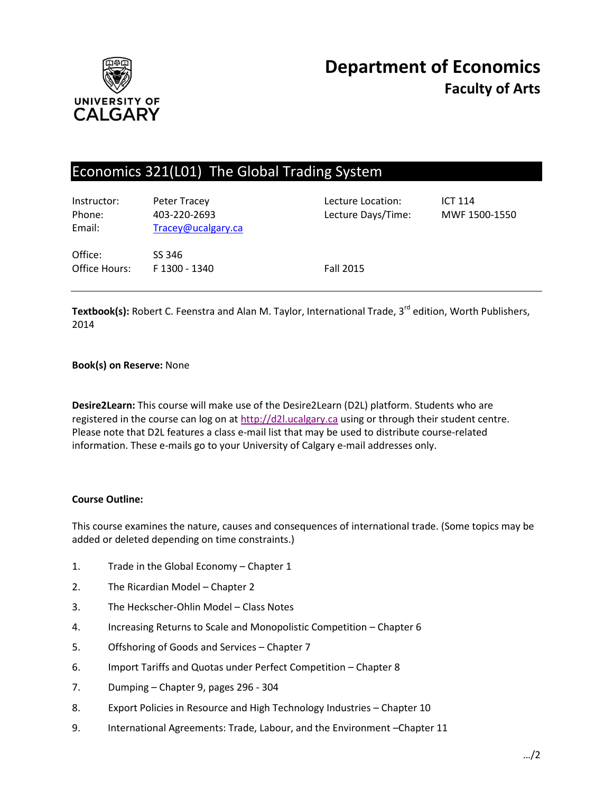

# Economics 321(L01) The Global Trading System

| Instructor:<br>Phone:<br>Email: | Peter Tracey<br>403-220-2693<br>Tracey@ucalgary.ca | Lecture Location:<br>Lecture Days/Time: | <b>ICT 114</b><br>MWF 1500-1550 |
|---------------------------------|----------------------------------------------------|-----------------------------------------|---------------------------------|
| Office:<br>Office Hours:        | SS 346<br>F 1300 - 1340                            | <b>Fall 2015</b>                        |                                 |

Textbook(s): Robert C. Feenstra and Alan M. Taylor, International Trade, 3<sup>rd</sup> edition, Worth Publishers, 2014

## **Book(s) on Reserve:** None

**Desire2Learn:** This course will make use of the Desire2Learn (D2L) platform. Students who are registered in the course can log on at [http://d2l.ucalgary.ca](http://d2l.ucalgary.ca/) using or through their student centre. Please note that D2L features a class e-mail list that may be used to distribute course-related information. These e-mails go to your University of Calgary e-mail addresses only.

#### **Course Outline:**

This course examines the nature, causes and consequences of international trade. (Some topics may be added or deleted depending on time constraints.)

- 1. Trade in the Global Economy Chapter 1
- 2. The Ricardian Model Chapter 2
- 3. The Heckscher-Ohlin Model Class Notes
- 4. Increasing Returns to Scale and Monopolistic Competition Chapter 6
- 5. Offshoring of Goods and Services Chapter 7
- 6. Import Tariffs and Quotas under Perfect Competition Chapter 8
- 7. Dumping Chapter 9, pages 296 304
- 8. Export Policies in Resource and High Technology Industries Chapter 10
- 9. International Agreements: Trade, Labour, and the Environment –Chapter 11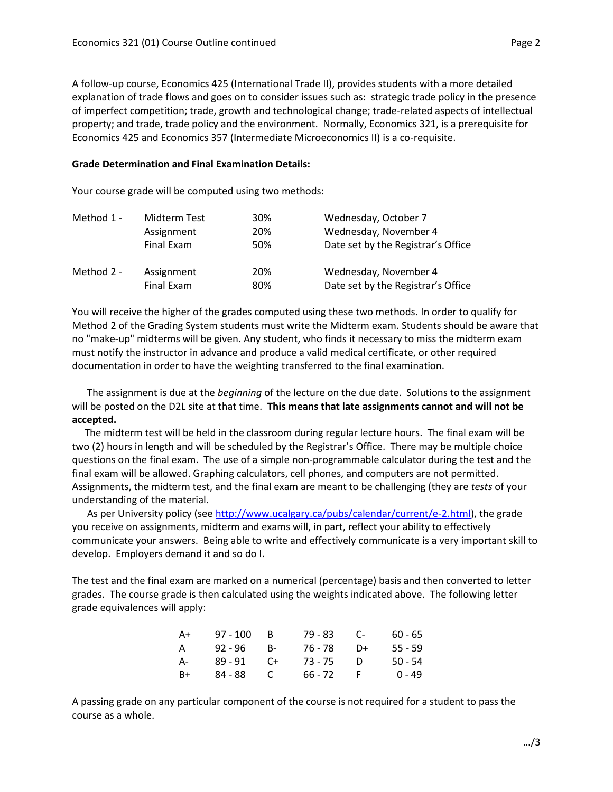A follow-up course, Economics 425 (International Trade II), provides students with a more detailed explanation of trade flows and goes on to consider issues such as: strategic trade policy in the presence of imperfect competition; trade, growth and technological change; trade-related aspects of intellectual property; and trade, trade policy and the environment. Normally, Economics 321, is a prerequisite for Economics 425 and Economics 357 (Intermediate Microeconomics II) is a co-requisite.

#### **Grade Determination and Final Examination Details:**

Your course grade will be computed using two methods:

| Method 1 - | Midterm Test | 30% | Wednesday, October 7               |
|------------|--------------|-----|------------------------------------|
|            | Assignment   | 20% | Wednesday, November 4              |
|            | Final Exam   | 50% | Date set by the Registrar's Office |
| Method 2 - | Assignment   | 20% | Wednesday, November 4              |
|            | Final Exam   | 80% | Date set by the Registrar's Office |

You will receive the higher of the grades computed using these two methods. In order to qualify for Method 2 of the Grading System students must write the Midterm exam. Students should be aware that no "make-up" midterms will be given. Any student, who finds it necessary to miss the midterm exam must notify the instructor in advance and produce a valid medical certificate, or other required documentation in order to have the weighting transferred to the final examination.

 The assignment is due at the *beginning* of the lecture on the due date. Solutions to the assignment will be posted on the D2L site at that time. **This means that late assignments cannot and will not be accepted.**

 The midterm test will be held in the classroom during regular lecture hours. The final exam will be two (2) hours in length and will be scheduled by the Registrar's Office. There may be multiple choice questions on the final exam. The use of a simple non-programmable calculator during the test and the final exam will be allowed. Graphing calculators, cell phones, and computers are not permitted. Assignments, the midterm test, and the final exam are meant to be challenging (they are *tests* of your understanding of the material.

 As per University policy (see [http://www.ucalgary.ca/pubs/calendar/current/e-2.html\)](http://www.ucalgary.ca/pubs/calendar/current/e-2.html), the grade you receive on assignments, midterm and exams will, in part, reflect your ability to effectively communicate your answers. Being able to write and effectively communicate is a very important skill to develop. Employers demand it and so do I.

The test and the final exam are marked on a numerical (percentage) basis and then converted to letter grades. The course grade is then calculated using the weights indicated above. The following letter grade equivalences will apply:

| A+  | $97 - 100$ | - B | 79 - 83   | - C-         | $60 - 65$ |
|-----|------------|-----|-----------|--------------|-----------|
| A   | 92 - 96    | B-  | 76 - 78   | D+           | $55 - 59$ |
| - A | 89 - 91    | C+  | 73 - 75   | - 1)         | $50 - 54$ |
| B+  | 84 - 88    | C   | $66 - 72$ | $\mathsf{F}$ | $0 - 49$  |

A passing grade on any particular component of the course is not required for a student to pass the course as a whole.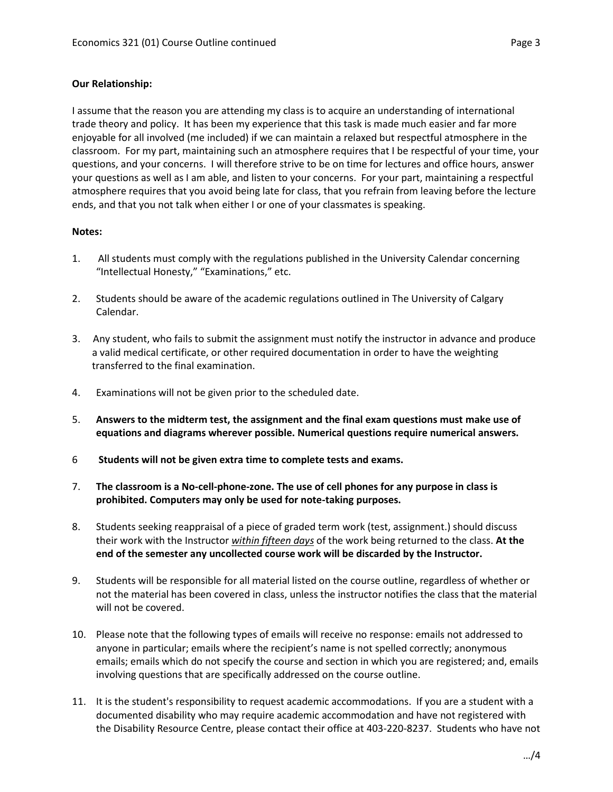# **Our Relationship:**

I assume that the reason you are attending my class is to acquire an understanding of international trade theory and policy. It has been my experience that this task is made much easier and far more enjoyable for all involved (me included) if we can maintain a relaxed but respectful atmosphere in the classroom. For my part, maintaining such an atmosphere requires that I be respectful of your time, your questions, and your concerns. I will therefore strive to be on time for lectures and office hours, answer your questions as well as I am able, and listen to your concerns. For your part, maintaining a respectful atmosphere requires that you avoid being late for class, that you refrain from leaving before the lecture ends, and that you not talk when either I or one of your classmates is speaking.

## **Notes:**

- 1. All students must comply with the regulations published in the University Calendar concerning "Intellectual Honesty," "Examinations," etc.
- 2. Students should be aware of the academic regulations outlined in The University of Calgary Calendar.
- 3. Any student, who fails to submit the assignment must notify the instructor in advance and produce a valid medical certificate, or other required documentation in order to have the weighting transferred to the final examination.
- 4. Examinations will not be given prior to the scheduled date.
- 5. **Answers to the midterm test, the assignment and the final exam questions must make use of equations and diagrams wherever possible. Numerical questions require numerical answers.**
- 6 **Students will not be given extra time to complete tests and exams.**
- 7. **The classroom is a No-cell-phone-zone. The use of cell phones for any purpose in class is prohibited. Computers may only be used for note-taking purposes.**
- 8. Students seeking reappraisal of a piece of graded term work (test, assignment.) should discuss their work with the Instructor *within fifteen days* of the work being returned to the class. **At the end of the semester any uncollected course work will be discarded by the Instructor.**
- 9. Students will be responsible for all material listed on the course outline, regardless of whether or not the material has been covered in class, unless the instructor notifies the class that the material will not be covered.
- 10. Please note that the following types of emails will receive no response: emails not addressed to anyone in particular; emails where the recipient's name is not spelled correctly; anonymous emails; emails which do not specify the course and section in which you are registered; and, emails involving questions that are specifically addressed on the course outline.
- 11. It is the student's responsibility to request academic accommodations. If you are a student with a documented disability who may require academic accommodation and have not registered with the Disability Resource Centre, please contact their office at 403-220-8237. Students who have not